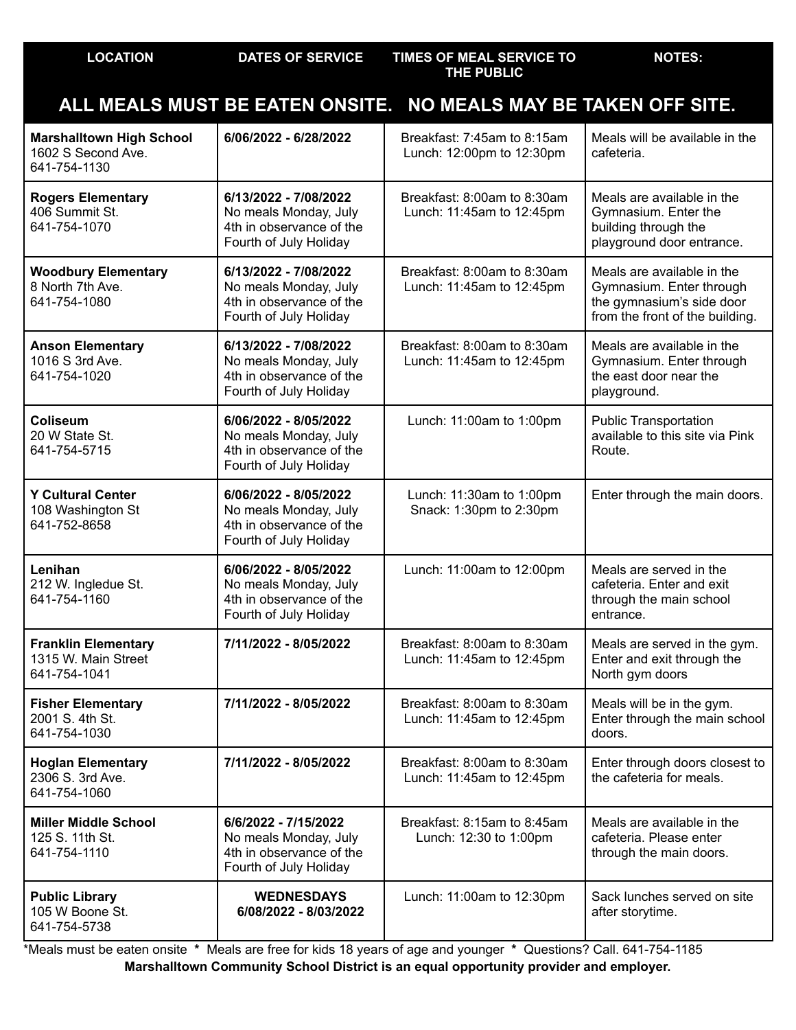|                                                                       |                                                                                                      | ALL MEALS MUST BE EATEN ONSITE. NO MEALS MAY BE TAKEN OFF SITE. |                                                                                                                        |
|-----------------------------------------------------------------------|------------------------------------------------------------------------------------------------------|-----------------------------------------------------------------|------------------------------------------------------------------------------------------------------------------------|
| <b>Marshalltown High School</b><br>1602 S Second Ave.<br>641-754-1130 | 6/06/2022 - 6/28/2022                                                                                | Breakfast: 7:45am to 8:15am<br>Lunch: 12:00pm to 12:30pm        | Meals will be available in the<br>cafeteria.                                                                           |
| <b>Rogers Elementary</b><br>406 Summit St.<br>641-754-1070            | 6/13/2022 - 7/08/2022<br>No meals Monday, July<br>4th in observance of the<br>Fourth of July Holiday | Breakfast: 8:00am to 8:30am<br>Lunch: 11:45am to 12:45pm        | Meals are available in the<br>Gymnasium. Enter the<br>building through the<br>playground door entrance.                |
| <b>Woodbury Elementary</b><br>8 North 7th Ave.<br>641-754-1080        | 6/13/2022 - 7/08/2022<br>No meals Monday, July<br>4th in observance of the<br>Fourth of July Holiday | Breakfast: 8:00am to 8:30am<br>Lunch: 11:45am to 12:45pm        | Meals are available in the<br>Gymnasium. Enter through<br>the gymnasium's side door<br>from the front of the building. |
| <b>Anson Elementary</b><br>1016 S 3rd Ave.<br>641-754-1020            | 6/13/2022 - 7/08/2022<br>No meals Monday, July<br>4th in observance of the<br>Fourth of July Holiday | Breakfast: 8:00am to 8:30am<br>Lunch: 11:45am to 12:45pm        | Meals are available in the<br>Gymnasium. Enter through<br>the east door near the<br>playground.                        |
| <b>Coliseum</b><br>20 W State St.<br>641-754-5715                     | 6/06/2022 - 8/05/2022<br>No meals Monday, July<br>4th in observance of the<br>Fourth of July Holiday | Lunch: 11:00am to 1:00pm                                        | <b>Public Transportation</b><br>available to this site via Pink<br>Route.                                              |
| <b>Y Cultural Center</b><br>108 Washington St<br>641-752-8658         | 6/06/2022 - 8/05/2022<br>No meals Monday, July<br>4th in observance of the<br>Fourth of July Holiday | Lunch: 11:30am to 1:00pm<br>Snack: 1:30pm to 2:30pm             | Enter through the main doors.                                                                                          |
| Lenihan<br>212 W. Ingledue St.<br>641-754-1160                        | 6/06/2022 - 8/05/2022<br>No meals Monday, July<br>4th in observance of the<br>Fourth of July Holiday | Lunch: 11:00am to 12:00pm                                       | Meals are served in the<br>cafeteria. Enter and exit<br>through the main school<br>entrance.                           |
| <b>Franklin Elementary</b><br>1315 W. Main Street<br>641-754-1041     | 7/11/2022 - 8/05/2022                                                                                | Breakfast: 8:00am to 8:30am<br>Lunch: 11:45am to 12:45pm        | Meals are served in the gym.<br>Enter and exit through the<br>North gym doors                                          |
| <b>Fisher Elementary</b><br>2001 S. 4th St.<br>641-754-1030           | 7/11/2022 - 8/05/2022                                                                                | Breakfast: 8:00am to 8:30am<br>Lunch: 11:45am to 12:45pm        | Meals will be in the gym.<br>Enter through the main school<br>doors.                                                   |
| <b>Hoglan Elementary</b><br>2306 S. 3rd Ave.<br>641-754-1060          | 7/11/2022 - 8/05/2022                                                                                | Breakfast: 8:00am to 8:30am<br>Lunch: 11:45am to 12:45pm        | Enter through doors closest to<br>the cafeteria for meals.                                                             |
| <b>Miller Middle School</b><br>125 S. 11th St.<br>641-754-1110        | 6/6/2022 - 7/15/2022<br>No meals Monday, July<br>4th in observance of the<br>Fourth of July Holiday  | Breakfast: 8:15am to 8:45am<br>Lunch: 12:30 to 1:00pm           | Meals are available in the<br>cafeteria. Please enter<br>through the main doors.                                       |
| <b>Public Library</b><br>105 W Boone St.<br>641-754-5738              | <b>WEDNESDAYS</b><br>6/08/2022 - 8/03/2022                                                           | Lunch: 11:00am to 12:30pm                                       | Sack lunches served on site<br>after storytime.                                                                        |

**LOCATION DATES OF SERVICE TIMES OF MEAL SERVICE TO**

**THE PUBLIC**

**NOTES:**

\*Meals must be eaten onsite **\*** Meals are free for kids 18 years of age and younger **\*** Questions? Call. 641-754-1185 **Marshalltown Community School District is an equal opportunity provider and employer.**